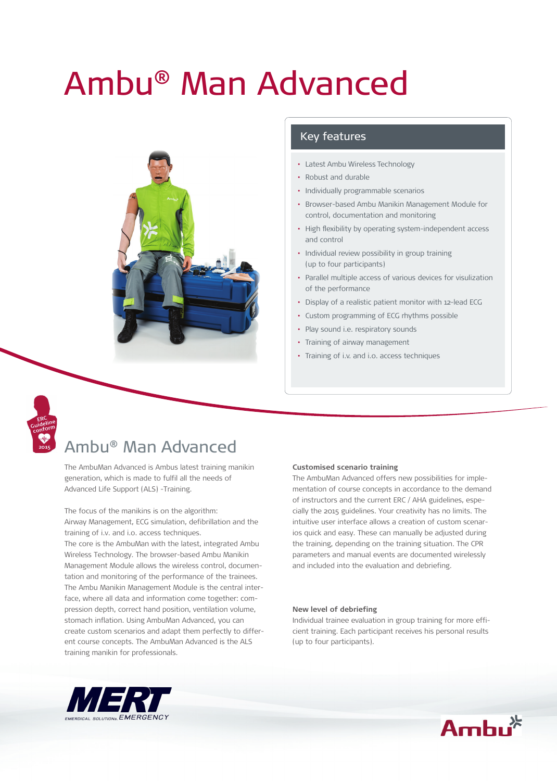## Ambu® Man Advanced



#### Key features

- Latest Ambu Wireless Technology
- Robust and durable
- Individually programmable scenarios
- Browser-based Ambu Manikin Management Module for control, documentation and monitoring
- High flexibility by operating system-independent access and control
- Individual review possibility in group training (up to four participants)
- Parallel multiple access of various devices for visulization of the performance
- Display of a realistic patient monitor with 12-lead ECG
- Custom programming of ECG rhythms possible
- Play sound i.e. respiratory sounds
- Training of airway management
- Training of i.v. and i.o. access techniques



## Ambu® Man Advanced

The AmbuMan Advanced is Ambus latest training manikin generation, which is made to fulfil all the needs of Advanced Life Support (ALS) -Training.

The focus of the manikins is on the algorithm: Airway Management, ECG simulation, defibrillation and the training of i.v. and i.o. access techniques. The core is the AmbuMan with the latest, integrated Ambu Wireless Technology. The browser-based Ambu Manikin Management Module allows the wireless control, documentation and monitoring of the performance of the trainees. The Ambu Manikin Management Module is the central interface, where all data and information come together: compression depth, correct hand position, ventilation volume, stomach inflation. Using AmbuMan Advanced, you can create custom scenarios and adapt them perfectly to different course concepts. The AmbuMan Advanced is the ALS training manikin for professionals.

#### **Customised scenario training**

The AmbuMan Advanced offers new possibilities for implementation of course concepts in accordance to the demand of instructors and the current ERC / AHA guidelines, especially the 2015 guidelines. Your creativity has no limits. The intuitive user interface allows a creation of custom scenarios quick and easy. These can manually be adjusted during the training, depending on the training situation. The CPR parameters and manual events are documented wirelessly and included into the evaluation and debriefing.

#### **New level of debriefing**

Individual trainee evaluation in group training for more efficient training. Each participant receives his personal results (up to four participants).